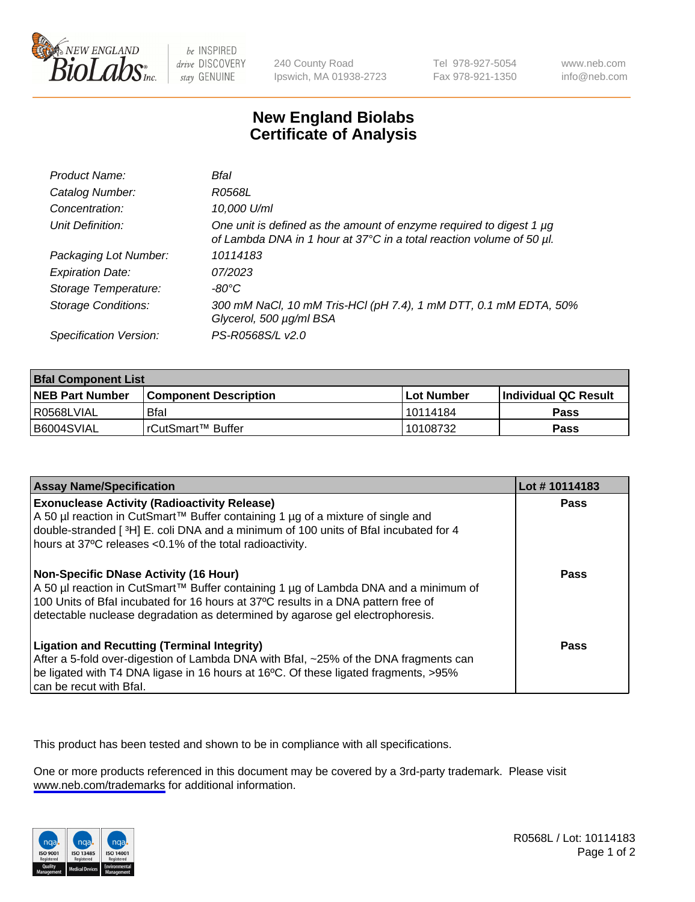

be INSPIRED drive DISCOVERY stay GENUINE

240 County Road Ipswich, MA 01938-2723 Tel 978-927-5054 Fax 978-921-1350

www.neb.com info@neb.com

## **New England Biolabs Certificate of Analysis**

| Product Name:              | Bfal                                                                                                                                        |
|----------------------------|---------------------------------------------------------------------------------------------------------------------------------------------|
| Catalog Number:            | R0568L                                                                                                                                      |
| Concentration:             | 10,000 U/ml                                                                                                                                 |
| Unit Definition:           | One unit is defined as the amount of enzyme required to digest 1 µg<br>of Lambda DNA in 1 hour at 37°C in a total reaction volume of 50 µl. |
| Packaging Lot Number:      | 10114183                                                                                                                                    |
| <b>Expiration Date:</b>    | 07/2023                                                                                                                                     |
| Storage Temperature:       | -80°C                                                                                                                                       |
| <b>Storage Conditions:</b> | 300 mM NaCl, 10 mM Tris-HCl (pH 7.4), 1 mM DTT, 0.1 mM EDTA, 50%<br>Glycerol, 500 µg/ml BSA                                                 |
| Specification Version:     | PS-R0568S/L v2.0                                                                                                                            |

| <b>Bral Component List</b> |                              |              |                             |  |
|----------------------------|------------------------------|--------------|-----------------------------|--|
| <b>NEB Part Number</b>     | <b>Component Description</b> | l Lot Number | <b>Individual QC Result</b> |  |
| R0568LVIAL                 | Bfal                         | 10114184     | <b>Pass</b>                 |  |
| B6004SVIAL                 | l rCutSmart™ Buffer          | 10108732     | Pass                        |  |

| <b>Assay Name/Specification</b>                                                                                                                                                                                                                                                                    | Lot #10114183 |
|----------------------------------------------------------------------------------------------------------------------------------------------------------------------------------------------------------------------------------------------------------------------------------------------------|---------------|
| <b>Exonuclease Activity (Radioactivity Release)</b><br>A 50 µl reaction in CutSmart™ Buffer containing 1 µg of a mixture of single and<br>double-stranded [3H] E. coli DNA and a minimum of 100 units of Bfal incubated for 4<br>hours at 37°C releases <0.1% of the total radioactivity.          | Pass          |
| Non-Specific DNase Activity (16 Hour)<br>A 50 µl reaction in CutSmart™ Buffer containing 1 µg of Lambda DNA and a minimum of<br>100 Units of Bfal incubated for 16 hours at 37°C results in a DNA pattern free of<br>detectable nuclease degradation as determined by agarose gel electrophoresis. | <b>Pass</b>   |
| <b>Ligation and Recutting (Terminal Integrity)</b><br>After a 5-fold over-digestion of Lambda DNA with Bfal, ~25% of the DNA fragments can<br>be ligated with T4 DNA ligase in 16 hours at 16°C. Of these ligated fragments, >95%<br>can be recut with Bfal.                                       | Pass          |

This product has been tested and shown to be in compliance with all specifications.

One or more products referenced in this document may be covered by a 3rd-party trademark. Please visit <www.neb.com/trademarks>for additional information.